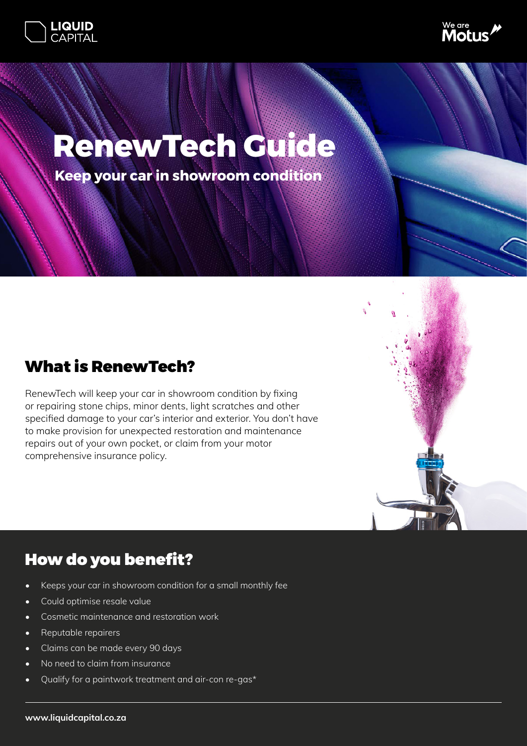



# **RenewTech Guide**

**Keep your car in showroom condition**

### What is RenewTech?

RenewTech will keep your car in showroom condition by fixing or repairing stone chips, minor dents, light scratches and other specified damage to your car's interior and exterior. You don't have to make provision for unexpected restoration and maintenance repairs out of your own pocket, or claim from your motor comprehensive insurance policy.



# How do you benefit?

- Keeps your car in showroom condition for a small monthly fee
- Could optimise resale value
- Cosmetic maintenance and restoration work
- Reputable repairers
- Claims can be made every 90 days
- No need to claim from insurance
- Qualify for a paintwork treatment and air-con re-gas\*

#### **www.liquidcapital.co.za**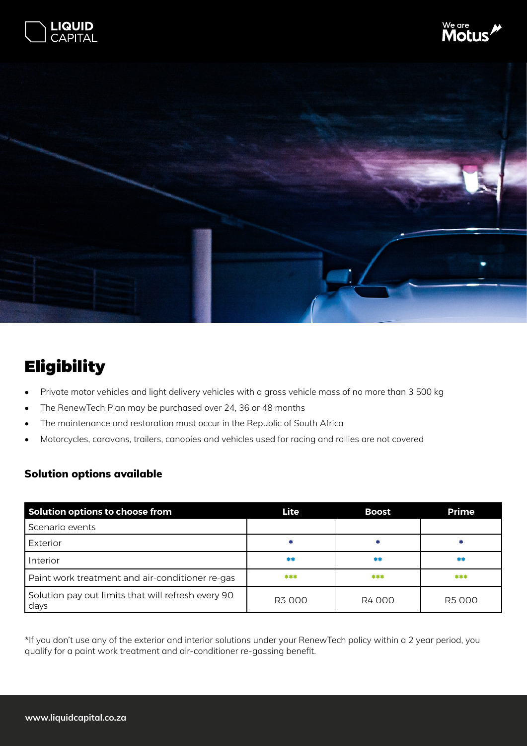





# **Eligibility**

- Private motor vehicles and light delivery vehicles with a gross vehicle mass of no more than 3 500 kg
- The RenewTech Plan may be purchased over 24, 36 or 48 months
- The maintenance and restoration must occur in the Republic of South Africa
- Motorcycles, caravans, trailers, canopies and vehicles used for racing and rallies are not covered

#### Solution options available

| Solution options to choose from                            | Lite  | <b>Boost</b> | <b>Prime</b> |
|------------------------------------------------------------|-------|--------------|--------------|
| Scenario events                                            |       |              |              |
| Exterior                                                   |       |              |              |
| Interior                                                   | **    | 米米           | 米米           |
| Paint work treatment and air-conditioner re-gas            | ***   | ***          | ***          |
| Solution pay out limits that will refresh every 90<br>days | R3000 | R4000        | R5000        |

\*If you don't use any of the exterior and interior solutions under your RenewTech policy within a 2 year period, you qualify for a paint work treatment and air-conditioner re-gassing benefit.